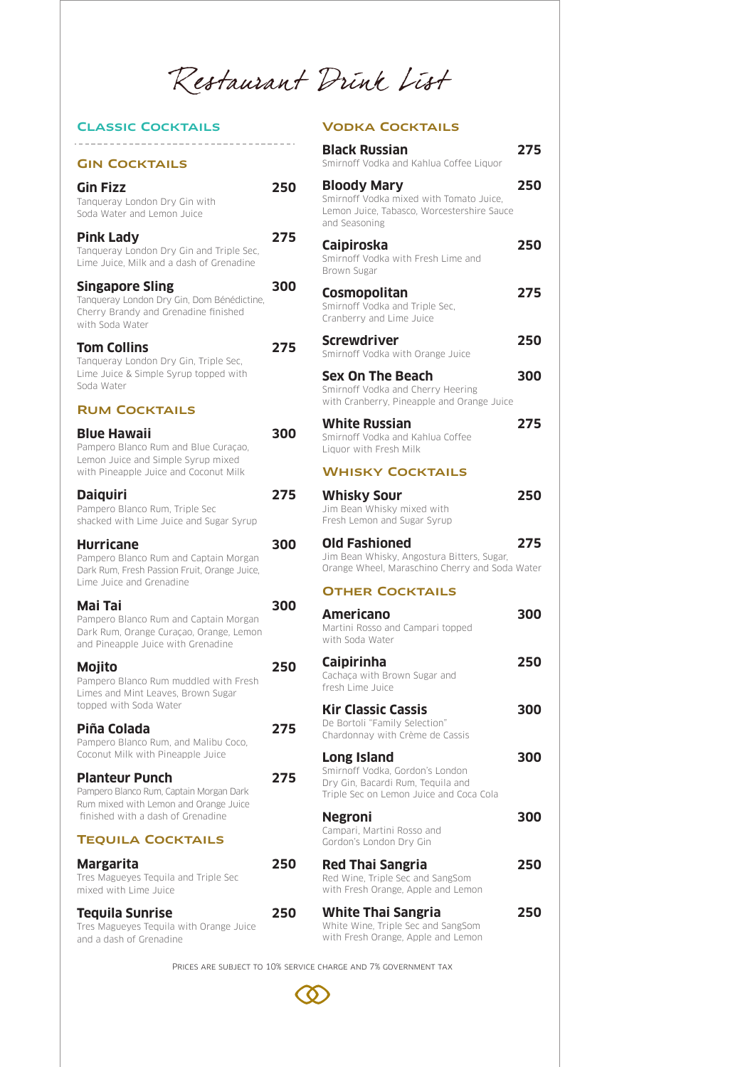Restaurant Drink List

# Classic Cocktails

## Gin Cocktails

**Gin Fizz** 25 Tanqueray London Dry Gin with Soda Water and Lemon Juice

Pink Lady 27 Tanqueray London Dry Gin and Triple Sec, Lime Juice, Milk and a dash of Grenadine

**Singapore Sling 6000 3000 300** Tanqueray London Dry Gin, Dom Bénédictine, Cherry Brandy and Grenadine finished with Soda Water

**Tom Collins 27 27** Tanqueray London Dry Gin, Triple Sec, Lime Juice & Simple Syrup topped with Soda Water

# Rum Cocktails

**Blue Hawaii** 30 Pampero Blanco Rum and Blue Curaçao, Lemon Juice and Simple Syrup mixed with Pineapple Juice and Coconut Milk

**Daiquiri 275** Pampero Blanco Rum, Triple Sec shacked with Lime Juice and Sugar Syrup

**Hurricane 300** Pampero Blanco Rum and Captain Morgan Dark Rum, Fresh Passion Fruit, Orange Juice,

# **Mai Tai 300**

Lime Juice and Grenadine

Pampero Blanco Rum and Captain Morgan Dark Rum, Orange Curaçao, Orange, Lemon and Pineapple Juice with Grenadine

**Mojito 25** Pampero Blanco Rum muddled with Fresh Limes and Mint Leaves, Brown Sugar topped with Soda Water

**Piña Colada 275** Pampero Blanco Rum, and Malibu Coco, Coconut Milk with Pineapple Juice

**Planteur Punch 27** Pampero Blanco Rum, Captain Morgan Dark Rum mixed with Lemon and Orange Juice finished with a dash of Grenadine

## Tequila Cocktails

**Margarita** 25 Tres Magueyes Tequila and Triple Sec mixed with Lime Juice

**Tequila Sunrise 25** Tres Magueyes Tequila with Orange Juice and a dash of Grenadine

Vodka Cocktails

|    | <b>Black Russian</b><br>Smirnoff Vodka and Kahlua Coffee Liguor                                                                       | 275 |
|----|---------------------------------------------------------------------------------------------------------------------------------------|-----|
| 50 | <b>Bloody Mary</b><br>Smirnoff Vodka mixed with Tomato Juice,<br>Lemon Juice, Tabasco, Worcestershire Sauce<br>and Seasoning          | 250 |
| 75 | <b>Caipiroska</b><br>Smirnoff Vodka with Fresh Lime and<br>Brown Sugar                                                                | 250 |
| סמ | <b>Cosmopolitan</b><br>Smirnoff Vodka and Triple Sec,<br>Cranberry and Lime Juice                                                     | 275 |
| 75 | <b>Screwdriver</b><br>Smirnoff Vodka with Orange Juice                                                                                | 250 |
|    | <b>Sex On The Beach</b><br>Smirnoff Vodka and Cherry Heering<br>with Cranberry, Pineapple and Orange Juice                            | 300 |
| סס | <b>White Russian</b><br>Smirnoff Vodka and Kahlua Coffee<br>Liquor with Fresh Milk                                                    | 275 |
|    | <b>WHISKY COCKTAILS</b>                                                                                                               |     |
| 75 | <b>Whisky Sour</b><br>Jim Bean Whisky mixed with<br>Fresh Lemon and Sugar Syrup                                                       | 250 |
| סס | <b>Old Fashioned</b><br>Jim Bean Whisky, Angostura Bitters, Sugar,<br>Orange Wheel, Maraschino Cherry and Soda Water                  | 275 |
|    | <b>OTHER COCKTAILS</b>                                                                                                                |     |
| סס | <b>Americano</b><br>Martini Rosso and Campari topped<br>with Soda Water                                                               | 300 |
| 50 | <b>Caipirinha</b><br>Cachaça with Brown Sugar and<br>fresh Lime Juice                                                                 | 250 |
| 75 | <b>Kir Classic Cassis</b><br>De Bortoli "Family Selection"<br>Chardonnay with Crème de Cassis                                         | 300 |
| 75 | <b>Long Island</b><br>Smirnoff Vodka, Gordon's London<br>Dry Gin, Bacardi Rum, Teguila and<br>Triple Sec on Lemon Juice and Coca Cola | 300 |
|    | <b>Negroni</b><br>Campari, Martini Rosso and<br>Gordon's London Dry Gin                                                               | 300 |
| 50 | <b>Red Thai Sangria</b><br>Red Wine, Triple Sec and SangSom<br>with Fresh Orange, Apple and Lemon                                     | 250 |
| 50 | <b>White Thai Sangria</b><br>White Wine, Triple Sec and SangSom<br>with Fresh Orange, Apple and Lemon                                 | 250 |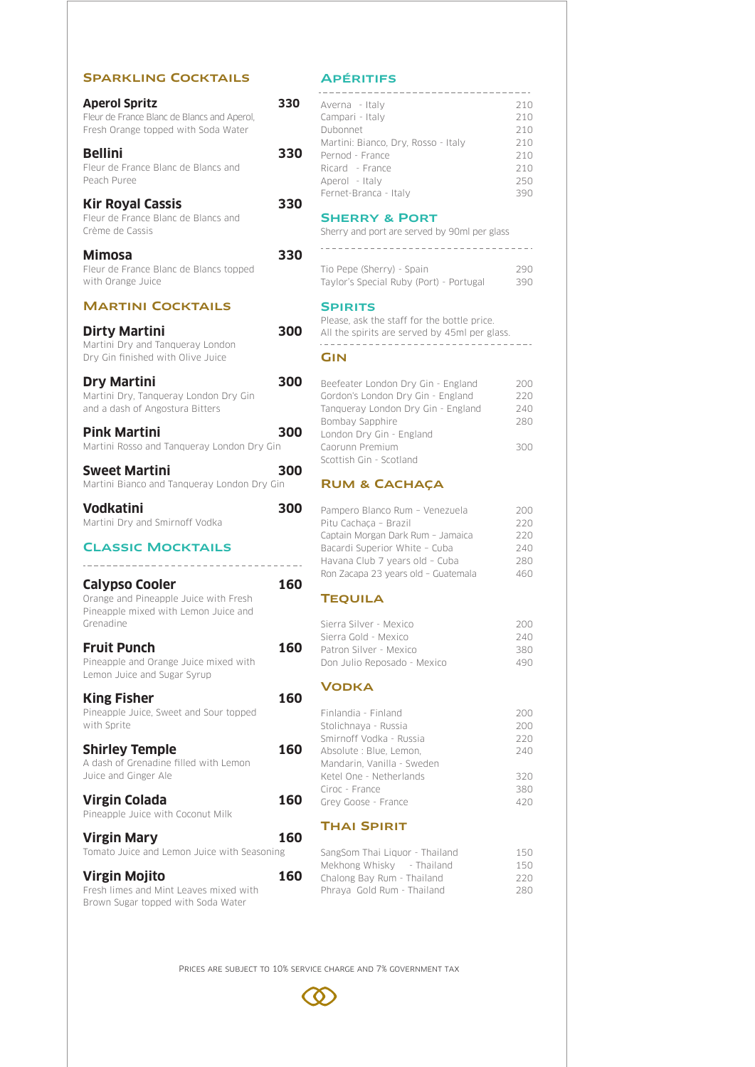## Sparkling Cocktails

**Aperol Spritz 330** Fleur de France Blanc de Blancs and Aperol, Fresh Orange topped with Soda Water **Bellini 330**

Fleur de France Blanc de Blancs and Peach Puree

# **Kir Royal Cassis 330**

Fleur de France Blanc de Blancs and Crème de Cassis

## **Mimosa 330**

Fleur de France Blanc de Blancs topped with Orange Juice

# Martini Cocktails

**Dirty Martini 300** Martini Dry and Tanqueray London Dry Gin finished with Olive Juice

**Dry Martini 300** Martini Dry, Tanqueray London Dry Gin and a dash of Angostura Bitters

| <b>Pink Martini</b> |                                            | 300 |
|---------------------|--------------------------------------------|-----|
|                     | Martini Rosso and Tangueray London Dry Gin |     |

| <b>Sweet Martini</b>                        | 300 |
|---------------------------------------------|-----|
| Martini Bianco and Tangueray London Dry Gin |     |

....................................

## **Vodkatini 300** Martini Dry and Smirnoff Vodka

#### Classic Mocktails

**Calypso Cooler 160** Orange and Pineapple Juice with Fresh Pineapple mixed with Lemon Juice and Grenadine

**Fruit Punch 160** Pineapple and Orange Juice mixed with Lemon Juice and Sugar Syrup

**King Fisher 160** Pineapple Juice, Sweet and Sour topped with Sprite

**Shirley Temple 16** A dash of Grenadine filled with Lemon Juice and Ginger Ale

**Virgin Colada** 16 Pineapple Juice with Coconut Milk

**Virgin Mary 160** Tomato Juice and Lemon Juice with Seasoning

**Virgin Mojito 160** Fresh limes and Mint Leaves mixed with Brown Sugar topped with Soda Water

# **APÉRITIFS**

| Averna - Italy                      | 210 |
|-------------------------------------|-----|
| Campari - Italy                     | 210 |
| Dubonnet                            | 210 |
| Martini: Bianco, Dry, Rosso - Italy | 210 |
| Pernod - France                     | 210 |
| Ricard - France                     | 210 |
| Aperol - Italy                      | 250 |
| Fernet-Branca - Italy               | 390 |

**SHERRY & PORT** Sherry and port are served by 90ml per glass

| Tio Pepe (Sherry) - Spain               | 290 |
|-----------------------------------------|-----|
| Taylor's Special Ruby (Port) - Portugal | 390 |

## **SPIRITS**

Please, ask the staff for the bottle price. All the spirits are served by 45ml per glass.

\_\_\_\_\_\_\_\_\_\_\_\_\_\_\_\_\_\_\_\_\_\_\_\_\_\_\_\_\_\_

#### **GIN**

| Beefeater London Dry Gin - England | 200 |
|------------------------------------|-----|
| Gordon's London Dry Gin - England  | 220 |
| Tangueray London Dry Gin - England | 740 |
| Bombay Sapphire                    | 280 |
| London Dry Gin - England           |     |
| Caorunn Premium                    | RUU |
| Scottish Gin - Scotland            |     |

# RUM & CACHACA

| Pampero Blanco Rum - Venezuela      | 200 |
|-------------------------------------|-----|
| Pitu Cachaca - Brazil               | 220 |
| Captain Morgan Dark Rum - Jamaica   | 220 |
| Bacardi Superior White - Cuba       | 240 |
| Havana Club 7 years old - Cuba      | 280 |
| Ron Zacapa 23 years old - Guatemala | 460 |

# **TEQUILA**

| Sierra Silver - Mexico      | 200 |
|-----------------------------|-----|
| Sierra Gold - Mexico        | 240 |
| Patron Silver - Mexico      | 380 |
| Don Julio Reposado - Mexico | 490 |

# **VODKA**

|                            | 200                 |
|----------------------------|---------------------|
| Stolichnaya - Russia       | 200                 |
| Smirnoff Vodka - Russia    | 220                 |
| Absolute : Blue, Lemon,    | 240                 |
| Mandarin, Vanilla - Sweden |                     |
| Ketel One - Netherlands    | 320                 |
| Ciroc - France             | 380                 |
| Grey Goose - France        | 420                 |
|                            |                     |
|                            | Finlandia - Finland |

# Thai Spirit

| SangSom Thai Liquor - Thailand | 150 |
|--------------------------------|-----|
| Mekhong Whisky - Thailand      | 150 |
| Chalong Bay Rum - Thailand     | 220 |
| Phraya Gold Rum - Thailand     | 280 |
|                                |     |

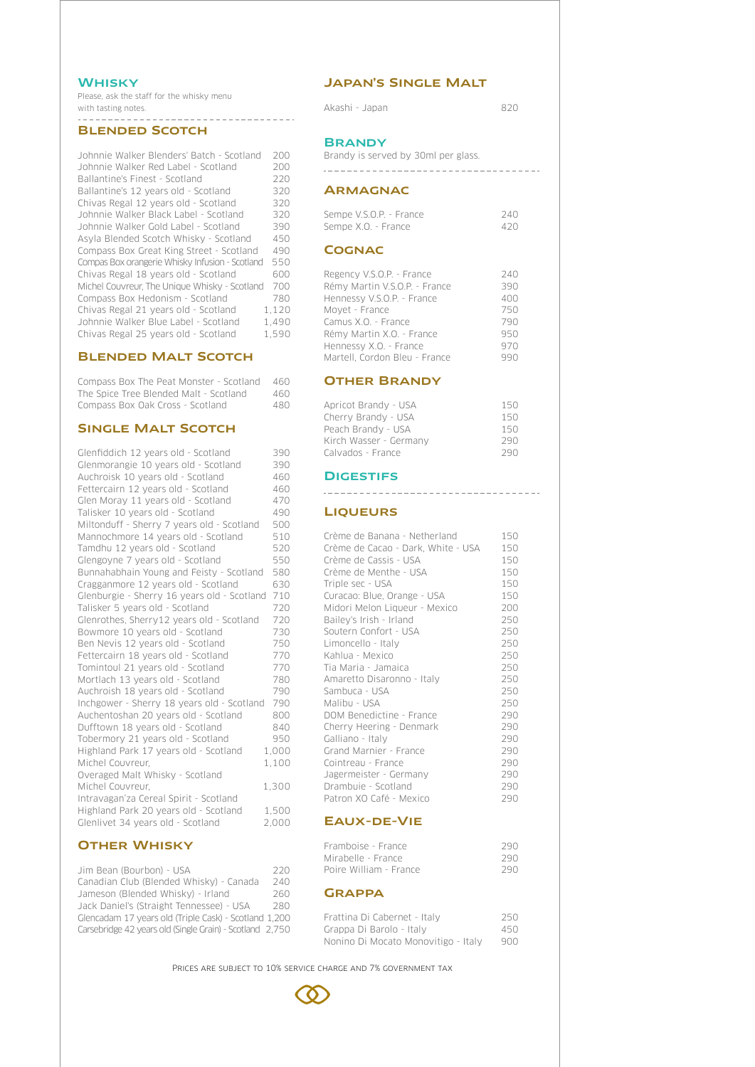## **WHISKY**

Please, ask the staff for the whisky menu with tasting notes.

#### Blended Scotch

| Johnnie Walker Blenders' Batch - Scotland       | 200   |
|-------------------------------------------------|-------|
| Johnnie Walker Red Label - Scotland             | 200   |
| Ballantine's Finest - Scotland                  | 220   |
| Ballantine's 12 years old - Scotland            | 320   |
| Chivas Regal 12 years old - Scotland            | 320   |
| Johnnie Walker Black Label - Scotland           | 320   |
| Johnnie Walker Gold Label - Scotland            | 390   |
| Asyla Blended Scotch Whisky - Scotland          | 450   |
| Compass Box Great King Street - Scotland        | 490   |
| Compas Box orangerie Whisky Infusion - Scotland | 550   |
| Chivas Regal 18 years old - Scotland            | 600   |
| Michel Couvreur. The Unique Whisky - Scotland   | 700   |
| Compass Box Hedonism - Scotland                 | 780   |
| Chivas Regal 21 years old - Scotland            | 1.120 |
| Johnnie Walker Blue Label - Scotland            | 1.490 |
| Chivas Regal 25 years old - Scotland            | 1.590 |

# Blended Malt Scotch

Compass Box The Peat Monster - Scotland 460 **OTHER BRANDY** The Spice Tree Blended Malt - Scotland 460 Compass Box Oak Cross - Scotland 480

# SINGLE MALT SCOTCH

| Glenfiddich 12 years old - Scotland         | 390   |
|---------------------------------------------|-------|
| Glenmorangie 10 years old - Scotland        | 390   |
| Auchroisk 10 years old - Scotland           | 460   |
| Fettercairn 12 years old - Scotland         | 460   |
| Glen Moray 11 years old - Scotland          | 470   |
| Talisker 10 years old - Scotland            | 490   |
| Miltonduff - Sherry 7 years old - Scotland  | 500   |
| Mannochmore 14 years old - Scotland         | 510   |
| Tamdhu 12 years old - Scotland              | 520   |
| Glengoyne 7 years old - Scotland            | 550   |
| Bunnahabhain Young and Feisty - Scotland    | 580   |
| Cragganmore 12 years old - Scotland         | 630   |
| Glenburgie - Sherry 16 years old - Scotland | 710   |
| Talisker 5 years old - Scotland             | 720   |
| Glenrothes, Sherry12 years old - Scotland   | 720   |
| Bowmore 10 years old - Scotland             | 730   |
| Ben Nevis 12 years old - Scotland           | 750   |
| Fettercairn 18 years old - Scotland         | 770   |
| Tomintoul 21 years old - Scotland           | 770   |
| Mortlach 13 years old - Scotland            | 780   |
| Auchroish 18 years old - Scotland           | 790   |
| Inchgower - Sherry 18 years old - Scotland  | 790   |
| Auchentoshan 20 years old - Scotland        | 800   |
| Dufftown 18 years old - Scotland            | 840   |
| Tobermory 21 years old - Scotland           | 950   |
| Highland Park 17 years old - Scotland       | 1,000 |
| Michel Couvreur,                            | 1.100 |
| Overaged Malt Whisky - Scotland             |       |
| Michel Couvreur,                            | 1,300 |
| Intravagan'za Cereal Spirit - Scotland      |       |
| Highland Park 20 years old - Scotland       | 1,500 |
| Glenlivet 34 years old - Scotland           | 2,000 |

# **OTHER WHISKY**

| Jim Bean (Bourbon) - USA                                 | 220 |
|----------------------------------------------------------|-----|
| Canadian Club (Blended Whisky) - Canada                  | 240 |
| Jameson (Blended Whisky) - Irland                        | 260 |
| Jack Daniel's (Straight Tennessee) - USA                 | 280 |
| Glencadam 17 years old (Triple Cask) - Scotland 1,200    |     |
| Carsebridge 42 years old (Single Grain) - Scotland 2.750 |     |

# Japan's Single Malt

Akashi - Japan 820

#### **BRANDY**

Brandy is served by 30ml per glass.

#### **ARMAGNAC**

| Sempe V.S.O.P. - France | 240 |
|-------------------------|-----|
| Sempe X.O. - France     | 420 |

.....................................

## **COGNAC**

| Regency V.S.O.P. - France<br>Rémy Martin V.S.O.P. - France | 240<br>390 |
|------------------------------------------------------------|------------|
| Hennessy V.S.O.P. - France                                 | 400        |
| Moyet - France                                             | 750        |
| Camus X.O. - France                                        | 790        |
| Rémy Martin X.O. - France                                  | 950        |
| Hennessy X.O. - France                                     | 970        |
| Martell, Cordon Bleu - France                              | aan        |

| Apricot Brandy - USA   | 150  |
|------------------------|------|
| Cherry Brandy - USA    | 150  |
| Peach Brandy - USA     | 150  |
| Kirch Wasser - Germany | 290  |
| Calvados - France      | 29 N |

## **DIGESTIFS**

## **LIQUEURS**

| Crème de Banana - Netherland       | 150 |
|------------------------------------|-----|
| Crème de Cacao - Dark, White - USA | 150 |
| Crème de Cassis - USA              | 150 |
| Crème de Menthe - USA              | 150 |
| Triple sec - USA                   | 150 |
| Curacao: Blue, Orange - USA        | 150 |
| Midori Melon Liqueur - Mexico      | 200 |
| Bailey's Irish - Irland            | 250 |
| Soutern Confort - USA              | 250 |
| Limoncello - Italy                 | 250 |
| Kahlua - Mexico                    | 250 |
| Tia Maria - Jamaica                | 250 |
| Amaretto Disaronno - Italy         | 250 |
| Sambuca - USA                      | 250 |
| Malibu - USA                       | 250 |
| DOM Benedictine - France           | 290 |
| Cherry Heering - Denmark           | 290 |
| Galliano - Italy                   | 290 |
| Grand Marnier - France             | 290 |
| Cointreau - France                 | 290 |
| Jagermeister - Germany             | 290 |
| Drambuje - Scotland                | 290 |
| Patron XO Café - Mexico            | 290 |
| <b>EAUX-DE-VIE</b>                 |     |
| Framboise - France                 | 290 |
| Mirabelle - France                 | 290 |
| Poire William - France             | 290 |

# **GRAPPA**

| Frattina Di Cabernet - Italy        | 250 |
|-------------------------------------|-----|
| Grappa Di Barolo - Italy            | 450 |
| Nonino Di Mocato Monovitigo - Italy | 900 |